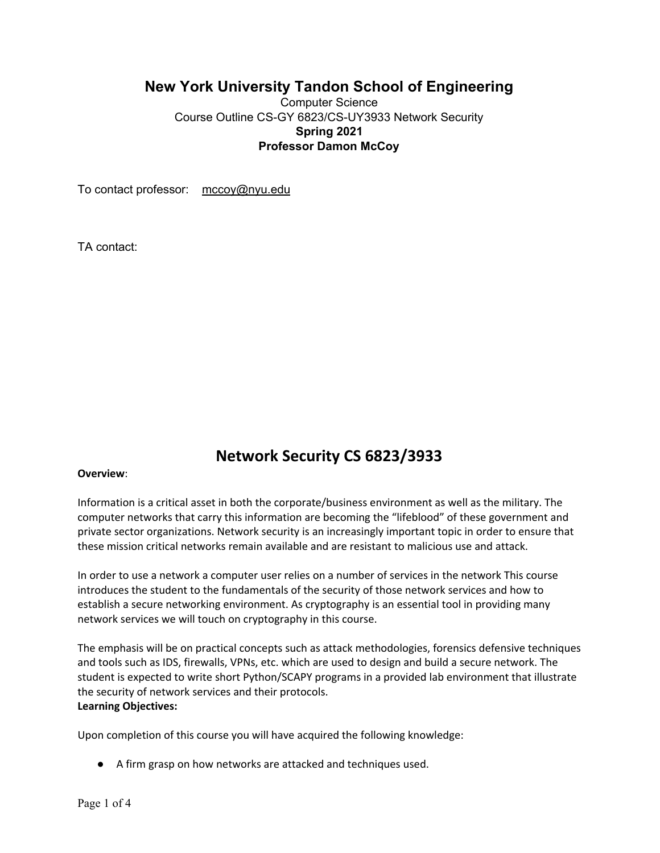## **New York University Tandon School of Engineering**

Computer Science Course Outline CS-GY 6823/CS-UY3933 Network Security **Spring 2021 Professor Damon McCoy**

To contact professor: mccoy@nyu.edu

TA contact:

# **Network Security CS 6823/3933**

#### **Overview**:

Information is a critical asset in both the corporate/business environment as well as the military. The computer networks that carry this information are becoming the "lifeblood" of these government and private sector organizations. Network security is an increasingly important topic in order to ensure that these mission critical networks remain available and are resistant to malicious use and attack.

In order to use a network a computer user relies on a number of services in the network This course introduces the student to the fundamentals of the security of those network services and how to establish a secure networking environment. As cryptography is an essential tool in providing many network services we will touch on cryptography in this course.

The emphasis will be on practical concepts such as attack methodologies, forensics defensive techniques and tools such as IDS, firewalls, VPNs, etc. which are used to design and build a secure network. The student is expected to write short Python/SCAPY programs in a provided lab environment that illustrate the security of network services and their protocols. **Learning Objectives:**

Upon completion of this course you will have acquired the following knowledge:

● A firm grasp on how networks are attacked and techniques used.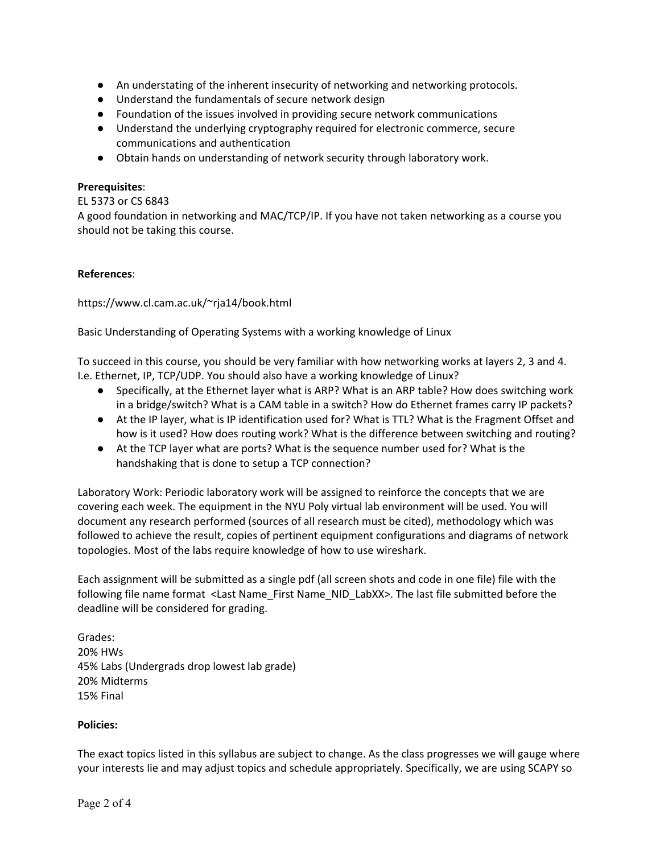- An understating of the inherent insecurity of networking and networking protocols.
- Understand the fundamentals of secure network design
- Foundation of the issues involved in providing secure network communications
- Understand the underlying cryptography required for electronic commerce, secure communications and authentication
- Obtain hands on understanding of network security through laboratory work.

#### **Prerequisites**:

#### EL 5373 or CS 6843

A good foundation in networking and MAC/TCP/IP. If you have not taken networking as a course you should not be taking this course.

#### **References**:

https://www.cl.cam.ac.uk/~rja14/book.html

Basic Understanding of Operating Systems with a working knowledge of Linux

To succeed in this course, you should be very familiar with how networking works at layers 2, 3 and 4. I.e. Ethernet, IP, TCP/UDP. You should also have a working knowledge of Linux?

- Specifically, at the Ethernet layer what is ARP? What is an ARP table? How does switching work in a bridge/switch? What is a CAM table in a switch? How do Ethernet frames carry IP packets?
- At the IP layer, what is IP identification used for? What is TTL? What is the Fragment Offset and how is it used? How does routing work? What is the difference between switching and routing?
- At the TCP layer what are ports? What is the sequence number used for? What is the handshaking that is done to setup a TCP connection?

Laboratory Work: Periodic laboratory work will be assigned to reinforce the concepts that we are covering each week. The equipment in the NYU Poly virtual lab environment will be used. You will document any research performed (sources of all research must be cited), methodology which was followed to achieve the result, copies of pertinent equipment configurations and diagrams of network topologies. Most of the labs require knowledge of how to use wireshark.

Each assignment will be submitted as a single pdf (all screen shots and code in one file) file with the following file name format <Last Name\_First Name\_NID\_LabXX>. The last file submitted before the deadline will be considered for grading.

Grades: 20% HWs 45% Labs (Undergrads drop lowest lab grade) 20% Midterms 15% Final

#### **Policies:**

The exact topics listed in this syllabus are subject to change. As the class progresses we will gauge where your interests lie and may adjust topics and schedule appropriately. Specifically, we are using SCAPY so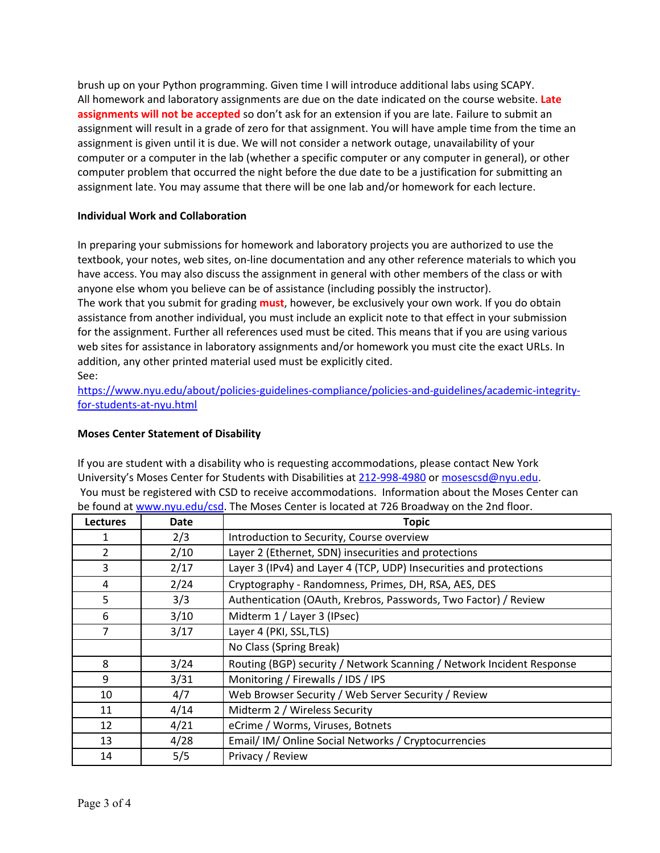brush up on your Python programming. Given time I will introduce additional labs using SCAPY. All homework and laboratory assignments are due on the date indicated on the course website. **Late assignments will not be accepted** so don't ask for an extension if you are late. Failure to submit an assignment will result in a grade of zero for that assignment. You will have ample time from the time an assignment is given until it is due. We will not consider a network outage, unavailability of your computer or a computer in the lab (whether a specific computer or any computer in general), or other computer problem that occurred the night before the due date to be a justification for submitting an assignment late. You may assume that there will be one lab and/or homework for each lecture.

### **Individual Work and Collaboration**

In preparing your submissions for homework and laboratory projects you are authorized to use the textbook, your notes, web sites, on-line documentation and any other reference materials to which you have access. You may also discuss the assignment in general with other members of the class or with anyone else whom you believe can be of assistance (including possibly the instructor).

The work that you submit for grading **must**, however, be exclusively your own work. If you do obtain assistance from another individual, you must include an explicit note to that effect in your submission for the assignment. Further all references used must be cited. This means that if you are using various web sites for assistance in laboratory assignments and/or homework you must cite the exact URLs. In addition, any other printed material used must be explicitly cited. See:

[https://www.nyu.edu/about/policies-guidelines-compliance/policies-and-guidelines/academic-integrity](https://www.nyu.edu/about/policies-guidelines-compliance/policies-and-guidelines/academic-integrity-for-students-at-nyu.html)[for-students-at-nyu.html](https://www.nyu.edu/about/policies-guidelines-compliance/policies-and-guidelines/academic-integrity-for-students-at-nyu.html)

#### **Moses Center Statement of Disability**

If you are student with a disability who is requesting accommodations, please contact New York University's Moses Center for Students with Disabilities at 212-998-4980 or [mosescsd@nyu.edu.](mailto:mosescsd@nyu.edu) You must be registered with CSD to receive accommodations. Information about the Moses Center can be found at [www.nyu.edu/csd.](http://www.nyu.edu/csd) The Moses Center is located at 726 Broadway on the 2nd floor.

| <b>Lectures</b> | Date | <b>Topic</b>                                                          |
|-----------------|------|-----------------------------------------------------------------------|
| 1               | 2/3  | Introduction to Security, Course overview                             |
| $\overline{2}$  | 2/10 | Layer 2 (Ethernet, SDN) insecurities and protections                  |
| 3               | 2/17 | Layer 3 (IPv4) and Layer 4 (TCP, UDP) Insecurities and protections    |
| 4               | 2/24 | Cryptography - Randomness, Primes, DH, RSA, AES, DES                  |
| 5               | 3/3  | Authentication (OAuth, Krebros, Passwords, Two Factor) / Review       |
| 6               | 3/10 | Midterm 1 / Layer 3 (IPsec)                                           |
| 7               | 3/17 | Layer 4 (PKI, SSL, TLS)                                               |
|                 |      | No Class (Spring Break)                                               |
| 8               | 3/24 | Routing (BGP) security / Network Scanning / Network Incident Response |
| 9               | 3/31 | Monitoring / Firewalls / IDS / IPS                                    |
| 10              | 4/7  | Web Browser Security / Web Server Security / Review                   |
| 11              | 4/14 | Midterm 2 / Wireless Security                                         |
| 12              | 4/21 | eCrime / Worms, Viruses, Botnets                                      |
| 13              | 4/28 | Email/ IM/ Online Social Networks / Cryptocurrencies                  |
| 14              | 5/5  | Privacy / Review                                                      |